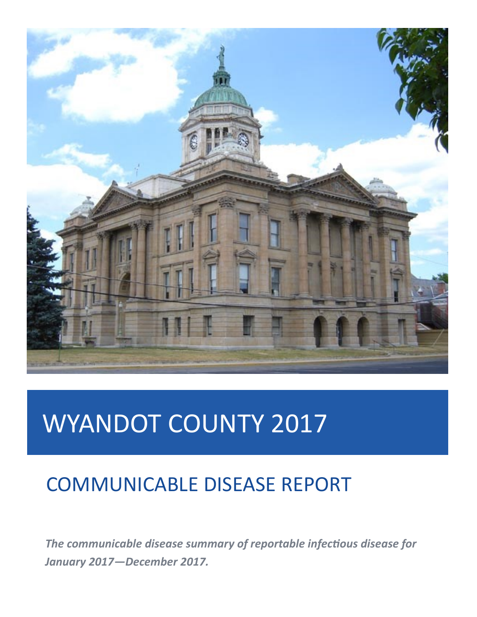

# WYANDOT COUNTY 2017

## COMMUNICABLE DISEASE REPORT

*The communicable disease summary of reportable infectious disease for January 2017—December 2017.*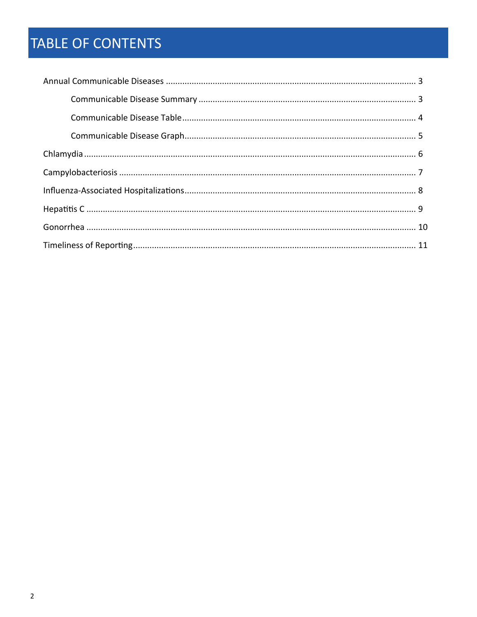## TABLE OF CONTENTS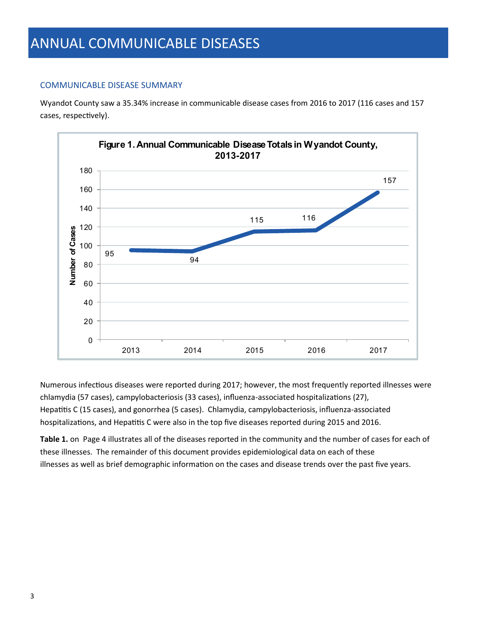#### COMMUNICABLE DISEASE SUMMARY

Wyandot County saw a 35.34% increase in communicable disease cases from 2016 to 2017 (116 cases and 157 cases, respectively).



Numerous infectious diseases were reported during 2017; however, the most frequently reported illnesses were chlamydia (57 cases), campylobacteriosis (33 cases), influenza-associated hospitalizations (27), Hepatitis C (15 cases), and gonorrhea (5 cases). Chlamydia, campylobacteriosis, influenza-associated hospitalizations, and Hepatitis C were also in the top five diseases reported during 2015 and 2016.

**Table 1.** on Page 4 illustrates all of the diseases reported in the community and the number of cases for each of these illnesses. The remainder of this document provides epidemiological data on each of these illnesses as well as brief demographic information on the cases and disease trends over the past five years.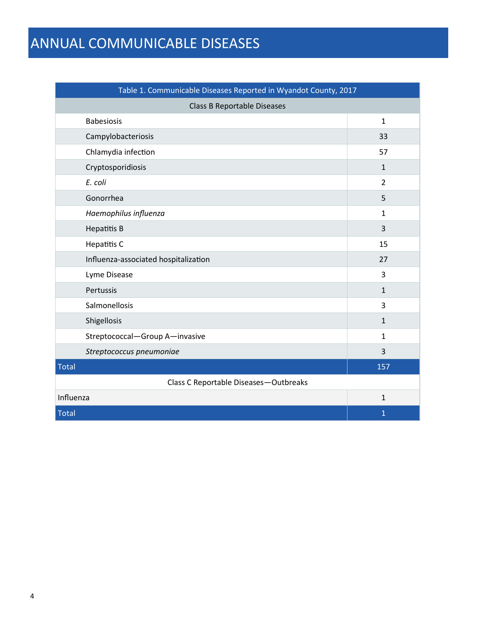## ANNUAL COMMUNICABLE DISEASES

| Table 1. Communicable Diseases Reported in Wyandot County, 2017 |                |  |  |  |  |
|-----------------------------------------------------------------|----------------|--|--|--|--|
| <b>Class B Reportable Diseases</b>                              |                |  |  |  |  |
| <b>Babesiosis</b>                                               | $\mathbf{1}$   |  |  |  |  |
| Campylobacteriosis                                              | 33             |  |  |  |  |
| Chlamydia infection                                             | 57             |  |  |  |  |
| Cryptosporidiosis                                               | $\mathbf{1}$   |  |  |  |  |
| E. coli                                                         | $\overline{2}$ |  |  |  |  |
| Gonorrhea                                                       | 5              |  |  |  |  |
| Haemophilus influenza                                           | $\mathbf{1}$   |  |  |  |  |
| <b>Hepatitis B</b>                                              | 3              |  |  |  |  |
| Hepatitis C                                                     | 15             |  |  |  |  |
| Influenza-associated hospitalization                            | 27             |  |  |  |  |
| Lyme Disease                                                    | 3              |  |  |  |  |
| Pertussis                                                       | $\mathbf{1}$   |  |  |  |  |
| Salmonellosis                                                   | 3              |  |  |  |  |
| Shigellosis                                                     | $\mathbf{1}$   |  |  |  |  |
| Streptococcal-Group A-invasive                                  | $\mathbf{1}$   |  |  |  |  |
| Streptococcus pneumoniae                                        | 3              |  |  |  |  |
| <b>Total</b>                                                    | 157            |  |  |  |  |
| Class C Reportable Diseases-Outbreaks                           |                |  |  |  |  |
| Influenza                                                       | $\mathbf{1}$   |  |  |  |  |
| <b>Total</b>                                                    | $\mathbf 1$    |  |  |  |  |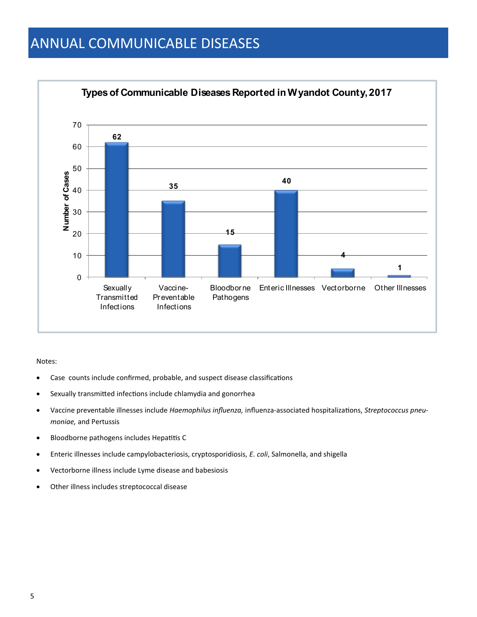### ANNUAL COMMUNICABLE DISEASES



#### Notes:

- Case counts include confirmed, probable, and suspect disease classifications
- Sexually transmitted infections include chlamydia and gonorrhea
- Vaccine preventable illnesses include *Haemophilus influenza,* influenza-associated hospitalizations, *Streptococcus pneumoniae,* and Pertussis
- Bloodborne pathogens includes Hepatitis C
- Enteric illnesses include campylobacteriosis, cryptosporidiosis, *E. coli*, Salmonella, and shigella
- Vectorborne illness include Lyme disease and babesiosis
- Other illness includes streptococcal disease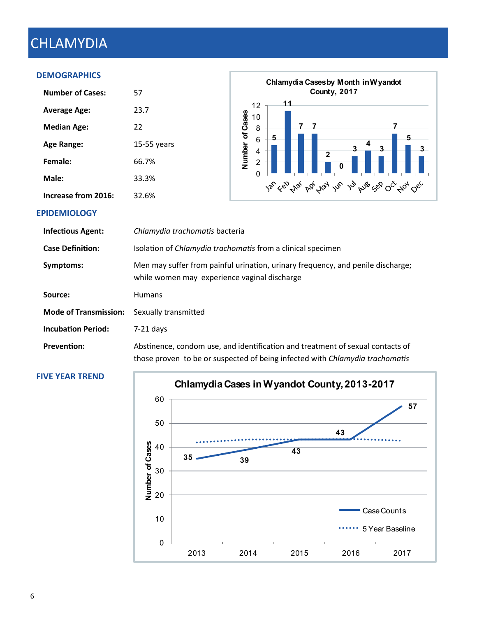## CHLAMYDIA

#### **DEMOGRAPHICS**

| <b>Number of Cases:</b> | 57          |
|-------------------------|-------------|
| <b>Average Age:</b>     | 23.7        |
| <b>Median Age:</b>      | 22          |
| Age Range:              | 15-55 years |
| Female:                 | 66.7%       |
| Male:                   | 33.3%       |
| Increase from 2016:     | 32.6%       |



#### **EPIDEMIOLOGY**

| <b>Infectious Agent:</b>     | Chlamydia trachomatis bacteria                                                                                                                                        |
|------------------------------|-----------------------------------------------------------------------------------------------------------------------------------------------------------------------|
| <b>Case Definition:</b>      | Isolation of <i>Chlamydia trachomatis</i> from a clinical specimen                                                                                                    |
| Symptoms:                    | Men may suffer from painful urination, urinary frequency, and penile discharge;<br>while women may experience vaginal discharge                                       |
| Source:                      | <b>Humans</b>                                                                                                                                                         |
| <b>Mode of Transmission:</b> | Sexually transmitted                                                                                                                                                  |
| <b>Incubation Period:</b>    | $7-21$ days                                                                                                                                                           |
| <b>Prevention:</b>           | Abstinence, condom use, and identification and treatment of sexual contacts of<br>those proven to be or suspected of being infected with <i>Chlamydia trachomatis</i> |

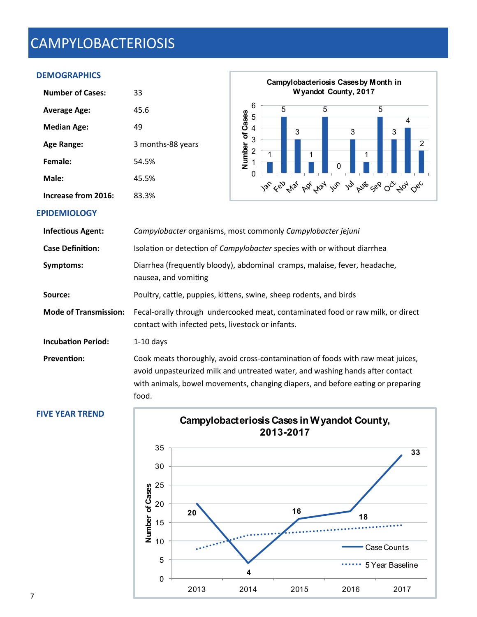## CAMPYLOBACTERIOSIS

#### **DEMOGRAPHICS**

| <b>Number of Cases:</b> | 33                |
|-------------------------|-------------------|
| <b>Average Age:</b>     | 45.6              |
| <b>Median Age:</b>      | 49                |
| Age Range:              | 3 months-88 years |
| Female:                 | 54.5%             |
| Male:                   | 45.5%             |
| Increase from 2016:     | 83.3%             |



#### **EPIDEMIOLOGY**

| Campylobacter organisms, most commonly Campylobacter jejuni                                                                                                                                                                                                  |
|--------------------------------------------------------------------------------------------------------------------------------------------------------------------------------------------------------------------------------------------------------------|
| Isolation or detection of Campylobacter species with or without diarrhea                                                                                                                                                                                     |
| Diarrhea (frequently bloody), abdominal cramps, malaise, fever, headache,<br>nausea, and vomiting                                                                                                                                                            |
| Poultry, cattle, puppies, kittens, swine, sheep rodents, and birds                                                                                                                                                                                           |
| Fecal-orally through undercooked meat, contaminated food or raw milk, or direct<br>contact with infected pets, livestock or infants.                                                                                                                         |
| $1-10$ days                                                                                                                                                                                                                                                  |
| Cook meats thoroughly, avoid cross-contamination of foods with raw meat juices,<br>avoid unpasteurized milk and untreated water, and washing hands after contact<br>with animals, bowel movements, changing diapers, and before eating or preparing<br>food. |
|                                                                                                                                                                                                                                                              |

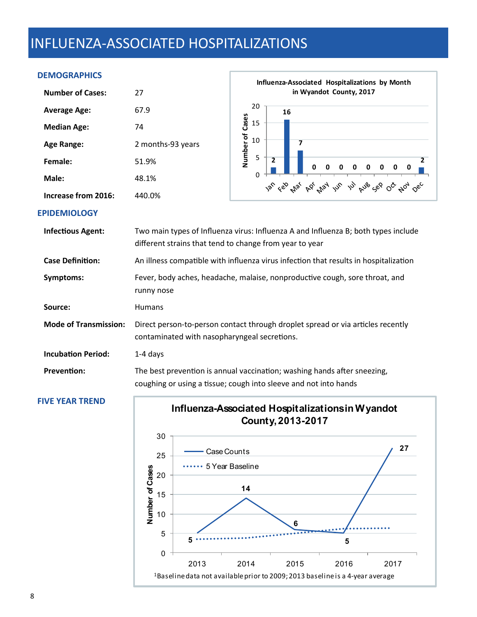### INFLUENZA-ASSOCIATED HOSPITALIZATIONS

#### **DEMOGRAPHICS**

| <b>Number of Cases:</b> | 27                |
|-------------------------|-------------------|
| <b>Average Age:</b>     | 67.9              |
| <b>Median Age:</b>      | 74                |
| <b>Age Range:</b>       | 2 months-93 years |
| Female:                 | 51.9%             |
| Male:                   | 48.1%             |
| Increase from 2016:     | 440.0%            |



#### **EPIDEMIOLOGY**

| <b>Infectious Agent:</b>     | Two main types of Influenza virus: Influenza A and Influenza B; both types include<br>different strains that tend to change from year to year |
|------------------------------|-----------------------------------------------------------------------------------------------------------------------------------------------|
| <b>Case Definition:</b>      | An illness compatible with influenza virus infection that results in hospitalization                                                          |
| Symptoms:                    | Fever, body aches, headache, malaise, nonproductive cough, sore throat, and<br>runny nose                                                     |
| Source:                      | <b>Humans</b>                                                                                                                                 |
| <b>Mode of Transmission:</b> | Direct person-to-person contact through droplet spread or via articles recently<br>contaminated with nasopharyngeal secretions.               |
| <b>Incubation Period:</b>    | $1-4$ days                                                                                                                                    |
| <b>Prevention:</b>           | The best prevention is annual vaccination; washing hands after sneezing,<br>coughing or using a tissue; cough into sleeve and not into hands  |



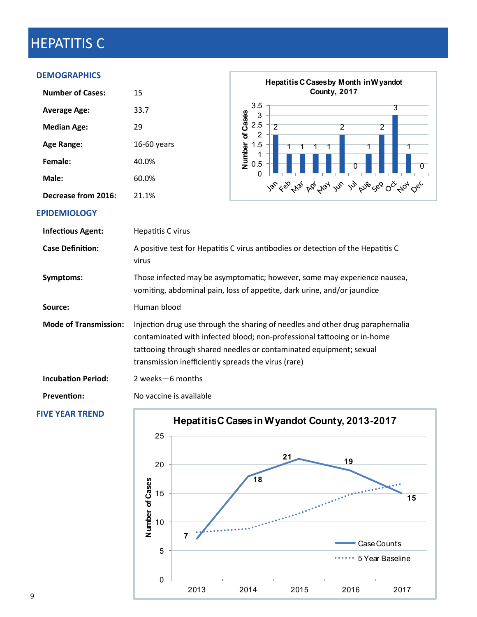## HEPATITIS C

#### **DEMOGRAPHICS**

| <b>Number of Cases:</b> | 15          |
|-------------------------|-------------|
| <b>Average Age:</b>     | 33.7        |
| <b>Median Age:</b>      | 29          |
| Age Range:              | 16-60 vears |
| Female:                 | 40.0%       |
| Male:                   | 60.0%       |
| Decrease from 2016:     | 21.1%       |



#### **EPIDEMIOLOGY**

| <b>Infectious Agent:</b>     | Hepatitis C virus                                                                                                                                                                                                                                                                      |
|------------------------------|----------------------------------------------------------------------------------------------------------------------------------------------------------------------------------------------------------------------------------------------------------------------------------------|
| <b>Case Definition:</b>      | A positive test for Hepatitis C virus antibodies or detection of the Hepatitis C<br>virus                                                                                                                                                                                              |
| Symptoms:                    | Those infected may be asymptomatic; however, some may experience nausea,<br>vomiting, abdominal pain, loss of appetite, dark urine, and/or jaundice                                                                                                                                    |
| Source:                      | Human blood                                                                                                                                                                                                                                                                            |
| <b>Mode of Transmission:</b> | Injection drug use through the sharing of needles and other drug paraphernalia<br>contaminated with infected blood; non-professional tattooing or in-home<br>tattooing through shared needles or contaminated equipment; sexual<br>transmission inefficiently spreads the virus (rare) |
| <b>Incubation Period:</b>    | 2 weeks - 6 months                                                                                                                                                                                                                                                                     |
| <b>Prevention:</b>           | No vaccine is available                                                                                                                                                                                                                                                                |

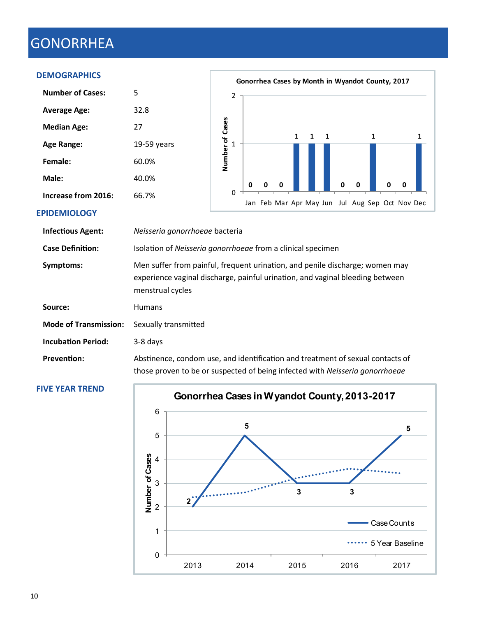## GONORRHEA

#### **DEMOGRAPHICS**

|                            |                                                                                                                                                                                   |                 |                |   |   |              |   |   |   | Gonorrhea Cases by Month in Wyandot County, 2017 |   |                                                 |   |
|----------------------------|-----------------------------------------------------------------------------------------------------------------------------------------------------------------------------------|-----------------|----------------|---|---|--------------|---|---|---|--------------------------------------------------|---|-------------------------------------------------|---|
| <b>Number of Cases:</b>    | 5                                                                                                                                                                                 |                 | $\overline{2}$ |   |   |              |   |   |   |                                                  |   |                                                 |   |
| <b>Average Age:</b>        | 32.8                                                                                                                                                                              |                 |                |   |   |              |   |   |   |                                                  |   |                                                 |   |
| <b>Median Age:</b>         | 27                                                                                                                                                                                |                 |                |   |   | $\mathbf{1}$ | 1 | 1 |   |                                                  | 1 |                                                 | 1 |
| <b>Age Range:</b>          | $19-59$ years                                                                                                                                                                     | Number of Cases |                |   |   |              |   |   |   |                                                  |   |                                                 |   |
| Female:                    | 60.0%                                                                                                                                                                             |                 |                |   |   |              |   |   |   |                                                  |   |                                                 |   |
| Male:                      | 40.0%                                                                                                                                                                             |                 |                | o | n |              |   |   | ŋ | 0                                                |   | 0                                               |   |
| <b>Increase from 2016:</b> | 66.7%                                                                                                                                                                             |                 | $\Omega$       |   |   |              |   |   |   |                                                  |   | Jan Feb Mar Apr May Jun Jul Aug Sep Oct Nov Dec |   |
| <b>EPIDEMIOLOGY</b>        |                                                                                                                                                                                   |                 |                |   |   |              |   |   |   |                                                  |   |                                                 |   |
| <b>Infectious Agent:</b>   | Neisseria gonorrhoeae bacteria                                                                                                                                                    |                 |                |   |   |              |   |   |   |                                                  |   |                                                 |   |
| <b>Case Definition:</b>    | Isolation of Neisseria gonorrhoeae from a clinical specimen                                                                                                                       |                 |                |   |   |              |   |   |   |                                                  |   |                                                 |   |
| Symptoms:                  | Men suffer from painful, frequent urination, and penile discharge; women may<br>experience vaginal discharge, painful urination, and vaginal bleeding between<br>menstrual cycles |                 |                |   |   |              |   |   |   |                                                  |   |                                                 |   |
| Source:                    | <b>Humans</b>                                                                                                                                                                     |                 |                |   |   |              |   |   |   |                                                  |   |                                                 |   |

**Mode of Transmission:** Sexually transmitted

**Incubation Period:** 3-8 days

**Prevention:** Abstinence, condom use, and identification and treatment of sexual contacts of those proven to be or suspected of being infected with *Neisseria gonorrhoeae*

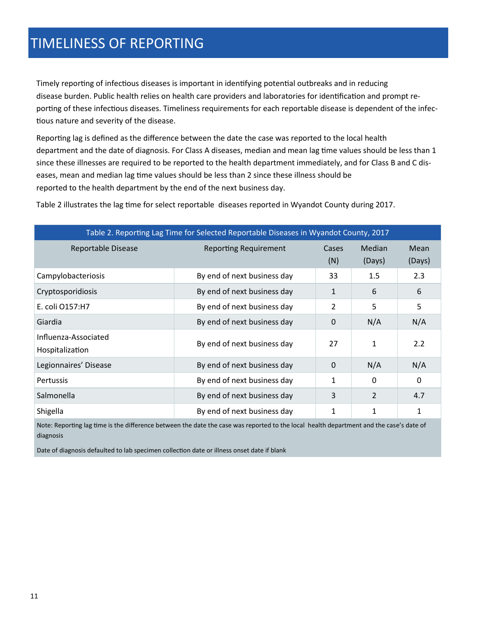### TIMELINESS OF REPORTING

Timely reporting of infectious diseases is important in identifying potential outbreaks and in reducing disease burden. Public health relies on health care providers and laboratories for identification and prompt reporting of these infectious diseases. Timeliness requirements for each reportable disease is dependent of the infectious nature and severity of the disease.

Reporting lag is defined as the difference between the date the case was reported to the local health department and the date of diagnosis. For Class A diseases, median and mean lag time values should be less than 1 since these illnesses are required to be reported to the health department immediately, and for Class B and C diseases, mean and median lag time values should be less than 2 since these illness should be reported to the health department by the end of the next business day.

| Table 2. Reporting Lag Time for Selected Reportable Diseases in Wyandot County, 2017 |                              |                     |                  |                |  |  |  |
|--------------------------------------------------------------------------------------|------------------------------|---------------------|------------------|----------------|--|--|--|
| <b>Reportable Disease</b>                                                            | <b>Reporting Requirement</b> | <b>Cases</b><br>(N) | Median<br>(Days) | Mean<br>(Days) |  |  |  |
| Campylobacteriosis                                                                   | By end of next business day  | 33                  | 1.5              | 2.3            |  |  |  |
| Cryptosporidiosis                                                                    | By end of next business day  | 1                   | 6                | 6              |  |  |  |
| E. coli O157:H7                                                                      | By end of next business day  | 2                   | 5                | 5              |  |  |  |
| Giardia                                                                              | By end of next business day  | 0                   | N/A              | N/A            |  |  |  |
| Influenza-Associated<br>Hospitalization                                              | By end of next business day  | 27                  | 1                | 2.2            |  |  |  |
| Legionnaires' Disease                                                                | By end of next business day  | $\Omega$            | N/A              | N/A            |  |  |  |
| <b>Pertussis</b>                                                                     | By end of next business day  | 1                   | $\Omega$         | $\Omega$       |  |  |  |
| Salmonella                                                                           | By end of next business day  | 3                   | 2                | 4.7            |  |  |  |
| Shigella                                                                             | By end of next business day  | 1                   | 1                | 1              |  |  |  |

Table 2 illustrates the lag time for select reportable diseases reported in Wyandot County during 2017.

Note: Reporting lag time is the difference between the date the case was reported to the local health department and the case's date of diagnosis

Date of diagnosis defaulted to lab specimen collection date or illness onset date if blank